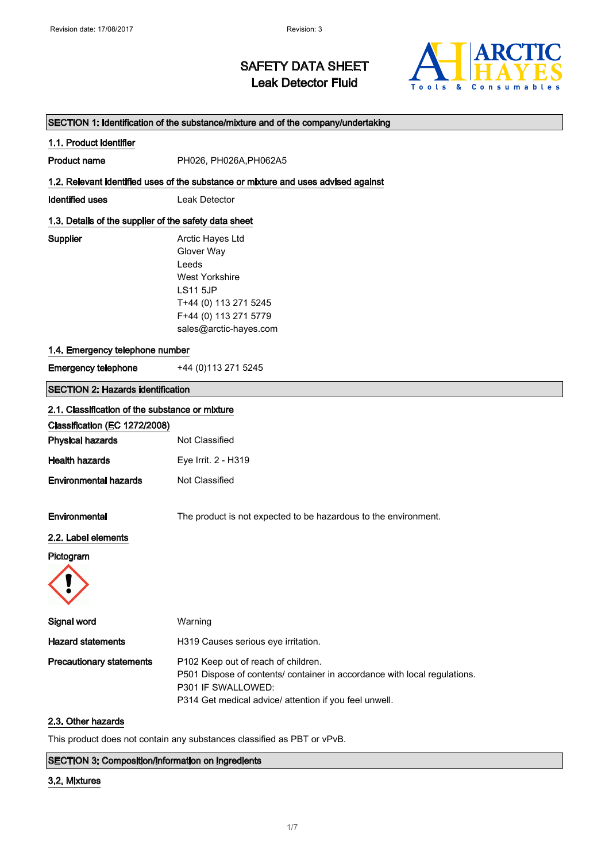

# SAFETY DATA SHEET Leak Detector Fluid

| SECTION 1: Identification of the substance/mixture and of the company/undertaking |                                                                                                                                                                                                  |  |  |
|-----------------------------------------------------------------------------------|--------------------------------------------------------------------------------------------------------------------------------------------------------------------------------------------------|--|--|
| 1.1. Product identifier                                                           |                                                                                                                                                                                                  |  |  |
| <b>Product name</b>                                                               | PH026, PH026A, PH062A5                                                                                                                                                                           |  |  |
|                                                                                   | 1.2. Relevant identified uses of the substance or mixture and uses advised against                                                                                                               |  |  |
| <b>Identified uses</b>                                                            | Leak Detector                                                                                                                                                                                    |  |  |
| 1.3. Details of the supplier of the safety data sheet                             |                                                                                                                                                                                                  |  |  |
| Supplier                                                                          | Arctic Hayes Ltd<br>Glover Way<br>Leeds<br><b>West Yorkshire</b><br><b>LS11 5JP</b><br>T+44 (0) 113 271 5245<br>F+44 (0) 113 271 5779<br>sales@arctic-hayes.com                                  |  |  |
| 1.4. Emergency telephone number                                                   |                                                                                                                                                                                                  |  |  |
| <b>Emergency telephone</b>                                                        | +44 (0) 113 271 5245                                                                                                                                                                             |  |  |
| <b>SECTION 2: Hazards identification</b>                                          |                                                                                                                                                                                                  |  |  |
| 2.1. Classification of the substance or mixture                                   |                                                                                                                                                                                                  |  |  |
| Classification (EC 1272/2008)                                                     |                                                                                                                                                                                                  |  |  |
| <b>Physical hazards</b>                                                           | Not Classified                                                                                                                                                                                   |  |  |
| <b>Health hazards</b>                                                             | Eye Irrit. 2 - H319                                                                                                                                                                              |  |  |
| <b>Environmental hazards</b>                                                      | Not Classified                                                                                                                                                                                   |  |  |
| Environmental<br>2.2. Label elements<br>Pictogram                                 | The product is not expected to be hazardous to the environment.                                                                                                                                  |  |  |
|                                                                                   |                                                                                                                                                                                                  |  |  |
| Signal word                                                                       | Warning                                                                                                                                                                                          |  |  |
| <b>Hazard statements</b>                                                          | H319 Causes serious eye irritation.                                                                                                                                                              |  |  |
| <b>Precautionary statements</b>                                                   | P102 Keep out of reach of children.<br>P501 Dispose of contents/ container in accordance with local regulations.<br>P301 IF SWALLOWED:<br>P314 Get medical advice/ attention if you feel unwell. |  |  |

#### 2.3. Other hazards

This product does not contain any substances classified as PBT or vPvB.

#### SECTION 3: Composition/information on ingredients

#### 3.2. Mixtures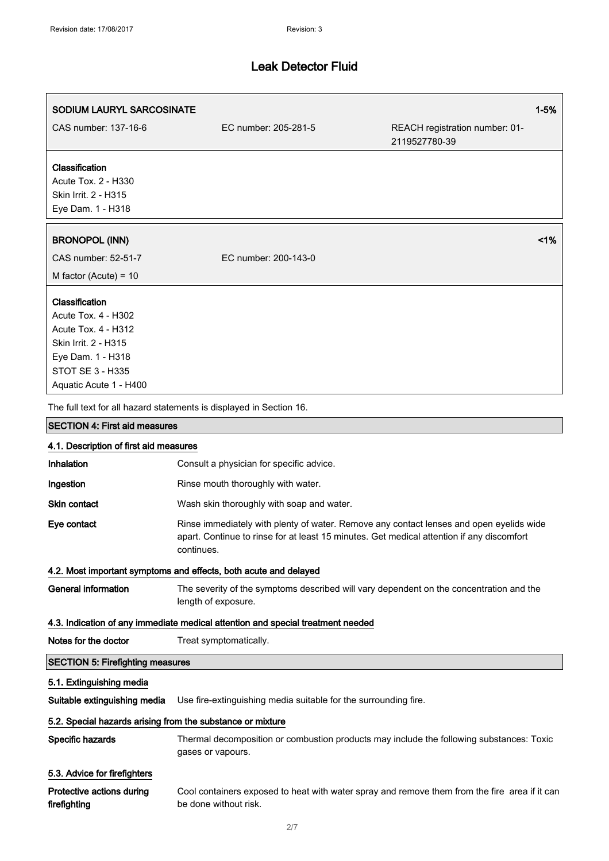| SODIUM LAURYL SARCOSINATE                                                                                                                                             |                                                                                                                                                                                                    | $1 - 5%$                                                                                 |  |
|-----------------------------------------------------------------------------------------------------------------------------------------------------------------------|----------------------------------------------------------------------------------------------------------------------------------------------------------------------------------------------------|------------------------------------------------------------------------------------------|--|
| CAS number: 137-16-6                                                                                                                                                  | EC number: 205-281-5                                                                                                                                                                               | REACH registration number: 01-<br>2119527780-39                                          |  |
| Classification<br>Acute Tox. 2 - H330<br>Skin Irrit. 2 - H315<br>Eye Dam. 1 - H318                                                                                    |                                                                                                                                                                                                    |                                                                                          |  |
| <b>BRONOPOL (INN)</b>                                                                                                                                                 |                                                                                                                                                                                                    | 1%                                                                                       |  |
| CAS number: 52-51-7<br>M factor (Acute) = $10$                                                                                                                        | EC number: 200-143-0                                                                                                                                                                               |                                                                                          |  |
| Classification<br>Acute Tox. 4 - H302<br><b>Acute Tox. 4 - H312</b><br>Skin Irrit. 2 - H315<br>Eye Dam. 1 - H318<br><b>STOT SE 3 - H335</b><br>Aquatic Acute 1 - H400 |                                                                                                                                                                                                    |                                                                                          |  |
|                                                                                                                                                                       | The full text for all hazard statements is displayed in Section 16.                                                                                                                                |                                                                                          |  |
| <b>SECTION 4: First aid measures</b>                                                                                                                                  |                                                                                                                                                                                                    |                                                                                          |  |
| 4.1. Description of first aid measures                                                                                                                                |                                                                                                                                                                                                    |                                                                                          |  |
| Inhalation                                                                                                                                                            | Consult a physician for specific advice.                                                                                                                                                           |                                                                                          |  |
| Ingestion                                                                                                                                                             | Rinse mouth thoroughly with water.                                                                                                                                                                 |                                                                                          |  |
| Skin contact                                                                                                                                                          | Wash skin thoroughly with soap and water.                                                                                                                                                          |                                                                                          |  |
| Eye contact                                                                                                                                                           | Rinse immediately with plenty of water. Remove any contact lenses and open eyelids wide<br>apart. Continue to rinse for at least 15 minutes. Get medical attention if any discomfort<br>continues. |                                                                                          |  |
|                                                                                                                                                                       | 4.2. Most important symptoms and effects, both acute and delayed                                                                                                                                   |                                                                                          |  |
| <b>General information</b>                                                                                                                                            | The severity of the symptoms described will vary dependent on the concentration and the<br>length of exposure.                                                                                     |                                                                                          |  |
|                                                                                                                                                                       | 4.3. Indication of any immediate medical attention and special treatment needed                                                                                                                    |                                                                                          |  |
| Notes for the doctor                                                                                                                                                  | Treat symptomatically.                                                                                                                                                                             |                                                                                          |  |
| <b>SECTION 5: Firefighting measures</b>                                                                                                                               |                                                                                                                                                                                                    |                                                                                          |  |
| 5.1. Extinguishing media                                                                                                                                              |                                                                                                                                                                                                    |                                                                                          |  |
| Suitable extinguishing media                                                                                                                                          | Use fire-extinguishing media suitable for the surrounding fire.                                                                                                                                    |                                                                                          |  |
| 5.2. Special hazards arising from the substance or mixture                                                                                                            |                                                                                                                                                                                                    |                                                                                          |  |
| Specific hazards                                                                                                                                                      | gases or vapours.                                                                                                                                                                                  | Thermal decomposition or combustion products may include the following substances: Toxic |  |

### 5.3. Advice for firefighters

| Protective actions during | Cool containers exposed to heat with water spray and remove them from the fire area if it can |
|---------------------------|-----------------------------------------------------------------------------------------------|
| firefighting              | be done without risk.                                                                         |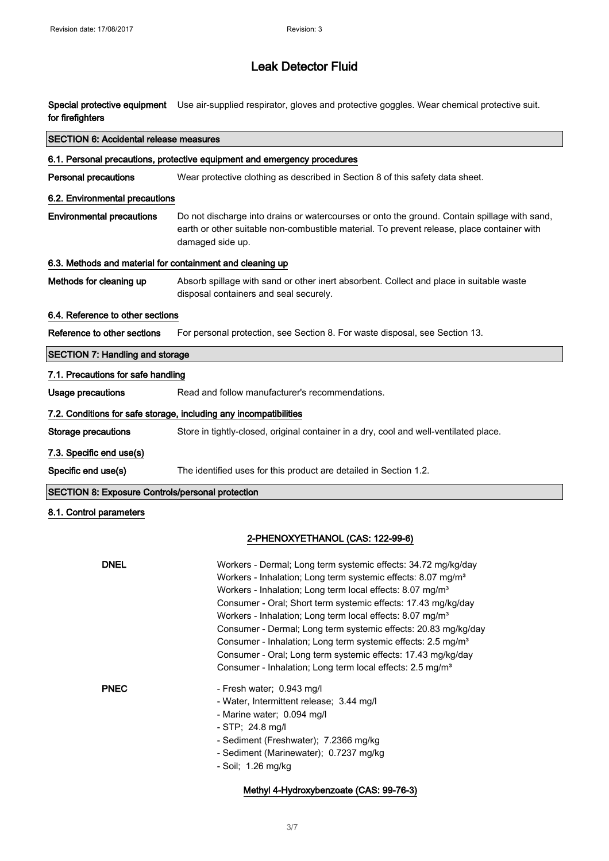Special protective equipment Use air-supplied respirator, gloves and protective goggles. Wear chemical protective suit. for firefighters

| <b>SECTION 6: Accidental release measures</b>                            |                                                                                                                                                                                                                                                                                                                                                                                                                                |  |
|--------------------------------------------------------------------------|--------------------------------------------------------------------------------------------------------------------------------------------------------------------------------------------------------------------------------------------------------------------------------------------------------------------------------------------------------------------------------------------------------------------------------|--|
| 6.1. Personal precautions, protective equipment and emergency procedures |                                                                                                                                                                                                                                                                                                                                                                                                                                |  |
| <b>Personal precautions</b>                                              | Wear protective clothing as described in Section 8 of this safety data sheet.                                                                                                                                                                                                                                                                                                                                                  |  |
| 6.2. Environmental precautions                                           |                                                                                                                                                                                                                                                                                                                                                                                                                                |  |
| <b>Environmental precautions</b>                                         | Do not discharge into drains or watercourses or onto the ground. Contain spillage with sand,<br>earth or other suitable non-combustible material. To prevent release, place container with<br>damaged side up.                                                                                                                                                                                                                 |  |
| 6.3. Methods and material for containment and cleaning up                |                                                                                                                                                                                                                                                                                                                                                                                                                                |  |
| Methods for cleaning up                                                  | Absorb spillage with sand or other inert absorbent. Collect and place in suitable waste<br>disposal containers and seal securely.                                                                                                                                                                                                                                                                                              |  |
| 6.4. Reference to other sections                                         |                                                                                                                                                                                                                                                                                                                                                                                                                                |  |
| Reference to other sections                                              | For personal protection, see Section 8. For waste disposal, see Section 13.                                                                                                                                                                                                                                                                                                                                                    |  |
| <b>SECTION 7: Handling and storage</b>                                   |                                                                                                                                                                                                                                                                                                                                                                                                                                |  |
| 7.1. Precautions for safe handling                                       |                                                                                                                                                                                                                                                                                                                                                                                                                                |  |
| <b>Usage precautions</b>                                                 | Read and follow manufacturer's recommendations.                                                                                                                                                                                                                                                                                                                                                                                |  |
|                                                                          | 7.2. Conditions for safe storage, including any incompatibilities                                                                                                                                                                                                                                                                                                                                                              |  |
| <b>Storage precautions</b>                                               | Store in tightly-closed, original container in a dry, cool and well-ventilated place.                                                                                                                                                                                                                                                                                                                                          |  |
| 7.3. Specific end use(s)                                                 |                                                                                                                                                                                                                                                                                                                                                                                                                                |  |
| Specific end use(s)                                                      | The identified uses for this product are detailed in Section 1.2.                                                                                                                                                                                                                                                                                                                                                              |  |
| <b>SECTION 8: Exposure Controls/personal protection</b>                  |                                                                                                                                                                                                                                                                                                                                                                                                                                |  |
| 8.1. Control parameters                                                  |                                                                                                                                                                                                                                                                                                                                                                                                                                |  |
|                                                                          |                                                                                                                                                                                                                                                                                                                                                                                                                                |  |
|                                                                          | 2-PHENOXYETHANOL (CAS: 122-99-6)                                                                                                                                                                                                                                                                                                                                                                                               |  |
| <b>DNEL</b>                                                              | Workers - Dermal; Long term systemic effects: 34.72 mg/kg/day<br>Workers - Inhalation; Long term systemic effects: 8.07 mg/m <sup>3</sup><br>Workers - Inhalation; Long term local effects: 8.07 mg/m <sup>3</sup><br>Consumer - Oral; Short term systemic effects: 17.43 mg/kg/day<br>Workers - Inhalation; Long term local effects: 8.07 mg/m <sup>3</sup><br>Consumer - Dermal; Long term systemic effects: 20.83 mg/kg/day |  |

| Workers - Dermal; Long term systemic effects: 34.72 mg/kg/day<br>Workers - Inhalation; Long term systemic effects: 8.07 mg/m <sup>3</sup><br>Workers - Inhalation; Long term local effects: 8.07 mg/m <sup>3</sup><br>Consumer - Oral; Short term systemic effects: 17.43 mg/kg/day<br>Workers - Inhalation; Long term local effects: 8.07 mg/m <sup>3</sup><br>Consumer - Dermal; Long term systemic effects: 20.83 mg/kg/day<br>Consumer - Inhalation; Long term systemic effects: 2.5 mg/m <sup>3</sup><br>Consumer - Oral; Long term systemic effects: 17.43 mg/kg/day<br>Consumer - Inhalation; Long term local effects: 2.5 mg/m <sup>3</sup> |
|-----------------------------------------------------------------------------------------------------------------------------------------------------------------------------------------------------------------------------------------------------------------------------------------------------------------------------------------------------------------------------------------------------------------------------------------------------------------------------------------------------------------------------------------------------------------------------------------------------------------------------------------------------|
| - Fresh water; 0.943 mg/l<br>- Water, Intermittent release; 3.44 mg/l<br>- Marine water; 0.094 mg/l<br>- STP: 24.8 mg/l<br>- Sediment (Freshwater); 7.2366 mg/kg<br>- Sediment (Marinewater); 0.7237 mg/kg<br>- Soil; 1.26 mg/kg                                                                                                                                                                                                                                                                                                                                                                                                                    |
|                                                                                                                                                                                                                                                                                                                                                                                                                                                                                                                                                                                                                                                     |

Methyl 4-Hydroxybenzoate (CAS: 99-76-3)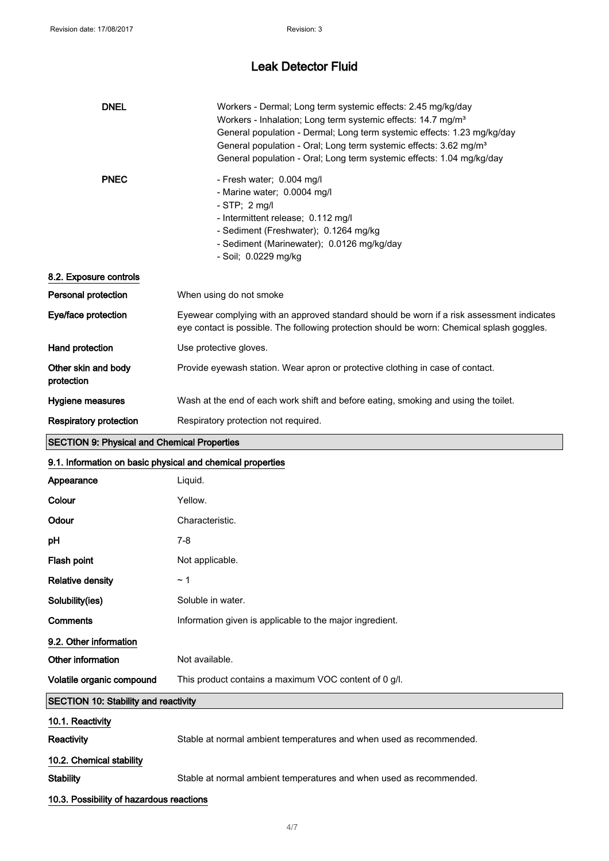| <b>DNEL</b>                                                | Workers - Dermal; Long term systemic effects: 2.45 mg/kg/day<br>Workers - Inhalation; Long term systemic effects: 14.7 mg/m <sup>3</sup><br>General population - Dermal; Long term systemic effects: 1.23 mg/kg/day<br>General population - Oral; Long term systemic effects: 3.62 mg/m <sup>3</sup><br>General population - Oral; Long term systemic effects: 1.04 mg/kg/day |  |
|------------------------------------------------------------|-------------------------------------------------------------------------------------------------------------------------------------------------------------------------------------------------------------------------------------------------------------------------------------------------------------------------------------------------------------------------------|--|
| <b>PNEC</b>                                                | - Fresh water; 0.004 mg/l<br>- Marine water; 0.0004 mg/l<br>$-STP$ ; 2 mg/l<br>- Intermittent release; 0.112 mg/l<br>- Sediment (Freshwater); 0.1264 mg/kg<br>- Sediment (Marinewater); 0.0126 mg/kg/day<br>- Soil; 0.0229 mg/kg                                                                                                                                              |  |
| 8.2. Exposure controls                                     |                                                                                                                                                                                                                                                                                                                                                                               |  |
| Personal protection                                        | When using do not smoke                                                                                                                                                                                                                                                                                                                                                       |  |
| Eye/face protection                                        | Eyewear complying with an approved standard should be worn if a risk assessment indicates<br>eye contact is possible. The following protection should be worn: Chemical splash goggles.                                                                                                                                                                                       |  |
| Hand protection                                            | Use protective gloves.                                                                                                                                                                                                                                                                                                                                                        |  |
| Other skin and body<br>protection                          | Provide eyewash station. Wear apron or protective clothing in case of contact.                                                                                                                                                                                                                                                                                                |  |
| Hygiene measures                                           | Wash at the end of each work shift and before eating, smoking and using the toilet.                                                                                                                                                                                                                                                                                           |  |
| <b>Respiratory protection</b>                              | Respiratory protection not required.                                                                                                                                                                                                                                                                                                                                          |  |
| <b>SECTION 9: Physical and Chemical Properties</b>         |                                                                                                                                                                                                                                                                                                                                                                               |  |
| 9.1. Information on basic physical and chemical properties |                                                                                                                                                                                                                                                                                                                                                                               |  |
| Appearance                                                 | Liquid.                                                                                                                                                                                                                                                                                                                                                                       |  |
| Colour                                                     | Yellow.                                                                                                                                                                                                                                                                                                                                                                       |  |
| Odour                                                      | Characteristic.                                                                                                                                                                                                                                                                                                                                                               |  |
| pН                                                         | $7 - 8$                                                                                                                                                                                                                                                                                                                                                                       |  |
| Flash point                                                | Not applicable.                                                                                                                                                                                                                                                                                                                                                               |  |
| <b>Relative density</b>                                    | ~1                                                                                                                                                                                                                                                                                                                                                                            |  |
| Solubility(ies)                                            | Soluble in water.                                                                                                                                                                                                                                                                                                                                                             |  |
| Comments                                                   | Information given is applicable to the major ingredient.                                                                                                                                                                                                                                                                                                                      |  |
| 9.2. Other information                                     |                                                                                                                                                                                                                                                                                                                                                                               |  |
| Other information                                          | Not available.                                                                                                                                                                                                                                                                                                                                                                |  |
| Volatile organic compound                                  | This product contains a maximum VOC content of 0 g/l.                                                                                                                                                                                                                                                                                                                         |  |
| <b>SECTION 10: Stability and reactivity</b>                |                                                                                                                                                                                                                                                                                                                                                                               |  |
| 10.1. Reactivity                                           |                                                                                                                                                                                                                                                                                                                                                                               |  |
| Reactivity                                                 | Stable at normal ambient temperatures and when used as recommended.                                                                                                                                                                                                                                                                                                           |  |
| 10.2. Chemical stability                                   |                                                                                                                                                                                                                                                                                                                                                                               |  |
| <b>Stability</b>                                           | Stable at normal ambient temperatures and when used as recommended.                                                                                                                                                                                                                                                                                                           |  |
|                                                            |                                                                                                                                                                                                                                                                                                                                                                               |  |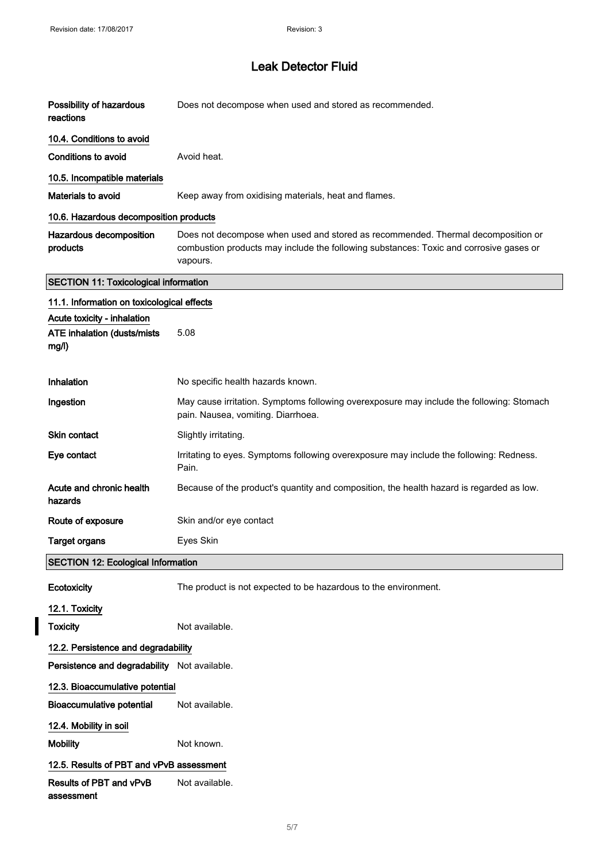## Leak Detector Fluid

| Possibility of hazardous<br>reactions                                       | Does not decompose when used and stored as recommended.                                                                                                                                |  |
|-----------------------------------------------------------------------------|----------------------------------------------------------------------------------------------------------------------------------------------------------------------------------------|--|
| 10.4. Conditions to avoid                                                   |                                                                                                                                                                                        |  |
| Conditions to avoid                                                         | Avoid heat.                                                                                                                                                                            |  |
| 10.5. Incompatible materials                                                |                                                                                                                                                                                        |  |
| Materials to avoid                                                          | Keep away from oxidising materials, heat and flames.                                                                                                                                   |  |
| 10.6. Hazardous decomposition products                                      |                                                                                                                                                                                        |  |
| Hazardous decomposition<br>products                                         | Does not decompose when used and stored as recommended. Thermal decomposition or<br>combustion products may include the following substances: Toxic and corrosive gases or<br>vapours. |  |
| <b>SECTION 11: Toxicological information</b>                                |                                                                                                                                                                                        |  |
| 11.1. Information on toxicological effects                                  |                                                                                                                                                                                        |  |
| Acute toxicity - inhalation<br><b>ATE inhalation (dusts/mists)</b><br>mg/l) | 5.08                                                                                                                                                                                   |  |
| Inhalation                                                                  | No specific health hazards known.                                                                                                                                                      |  |
| Ingestion                                                                   | May cause irritation. Symptoms following overexposure may include the following: Stomach<br>pain. Nausea, vomiting. Diarrhoea.                                                         |  |
| <b>Skin contact</b>                                                         | Slightly irritating.                                                                                                                                                                   |  |
| Eye contact                                                                 | Irritating to eyes. Symptoms following overexposure may include the following: Redness.<br>Pain.                                                                                       |  |
| Acute and chronic health<br>hazards                                         | Because of the product's quantity and composition, the health hazard is regarded as low.                                                                                               |  |
| Route of exposure                                                           | Skin and/or eye contact                                                                                                                                                                |  |
| <b>Target organs</b>                                                        | Eyes Skin                                                                                                                                                                              |  |
| <b>SECTION 12: Ecological Information</b>                                   |                                                                                                                                                                                        |  |
| Ecotoxicity                                                                 | The product is not expected to be hazardous to the environment.                                                                                                                        |  |
| 12.1. Toxicity                                                              |                                                                                                                                                                                        |  |
| <b>Toxicity</b>                                                             | Not available.                                                                                                                                                                         |  |
| 12.2. Persistence and degradability                                         |                                                                                                                                                                                        |  |
| Persistence and degradability Not available.                                |                                                                                                                                                                                        |  |
| 12.3. Bioaccumulative potential                                             |                                                                                                                                                                                        |  |
| <b>Bioaccumulative potential</b>                                            | Not available.                                                                                                                                                                         |  |
| 12.4. Mobility in soil                                                      |                                                                                                                                                                                        |  |
| <b>Mobility</b>                                                             | Not known.                                                                                                                                                                             |  |
| 12.5. Results of PBT and vPvB assessment                                    |                                                                                                                                                                                        |  |
| Results of PBT and vPvB<br>assessment                                       | Not available.                                                                                                                                                                         |  |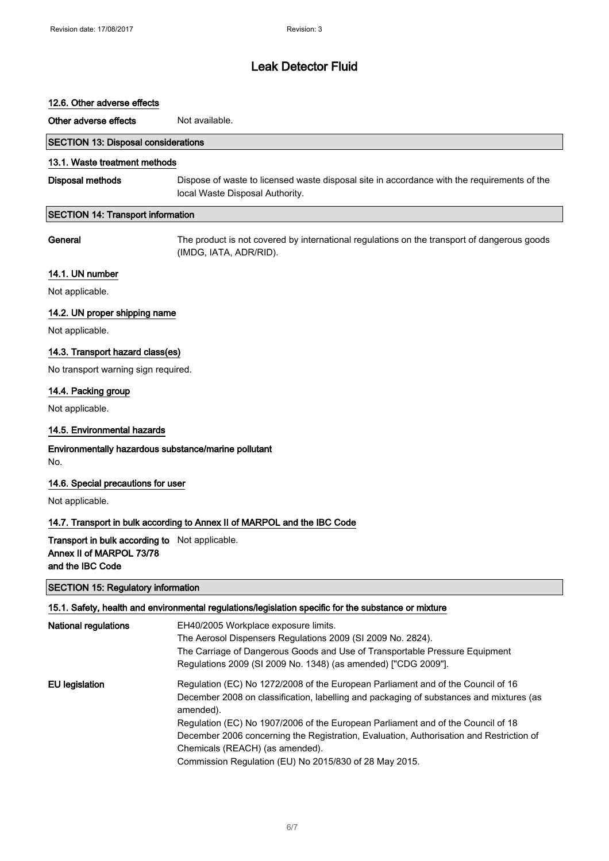# 12.6. Other adverse effects Other adverse effects Not available. SECTION 13: Disposal considerations 13.1. Waste treatment methods Disposal methods Dispose of waste to licensed waste disposal site in accordance with the requirements of the local Waste Disposal Authority. SECTION 14: Transport information General The product is not covered by international regulations on the transport of dangerous goods (IMDG, IATA, ADR/RID). 14.1. UN number Not applicable. 14.2. UN proper shipping name Not applicable. 14.3. Transport hazard class(es) No transport warning sign required. 14.4. Packing group Not applicable. 14.5. Environmental hazards Environmentally hazardous substance/marine pollutant No. 14.6. Special precautions for user Not applicable. 14.7. Transport in bulk according to Annex II of MARPOL and the IBC Code Transport in bulk according to Not applicable. Annex II of MARPOL 73/78 and the IBC Code SECTION 15: Regulatory information 15.1. Safety, health and environmental regulations/legislation specific for the substance or mixture National regulations EH40/2005 Workplace exposure limits. The Aerosol Dispensers Regulations 2009 (SI 2009 No. 2824). The Carriage of Dangerous Goods and Use of Transportable Pressure Equipment Regulations 2009 (SI 2009 No. 1348) (as amended) ["CDG 2009"]. EU legislation **Regulation (EC) No 1272/2008** of the European Parliament and of the Council of 16

December 2008 on classification, labelling and packaging of substances and mixtures (as amended). Regulation (EC) No 1907/2006 of the European Parliament and of the Council of 18 December 2006 concerning the Registration, Evaluation, Authorisation and Restriction of Chemicals (REACH) (as amended).

Commission Regulation (EU) No 2015/830 of 28 May 2015.